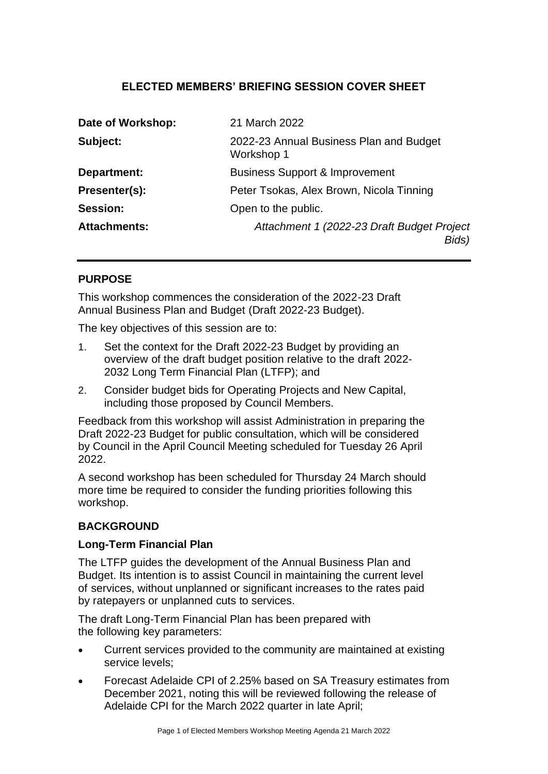# **ELECTED MEMBERS' BRIEFING SESSION COVER SHEET**

| Date of Workshop:   | 21 March 2022                                         |
|---------------------|-------------------------------------------------------|
| Subject:            | 2022-23 Annual Business Plan and Budget<br>Workshop 1 |
| Department:         | <b>Business Support &amp; Improvement</b>             |
| Presenter(s):       | Peter Tsokas, Alex Brown, Nicola Tinning              |
| Session:            | Open to the public.                                   |
| <b>Attachments:</b> | Attachment 1 (2022-23 Draft Budget Project<br>Bids)   |

## **PURPOSE**

This workshop commences the consideration of the 2022-23 Draft Annual Business Plan and Budget (Draft 2022-23 Budget).

The key objectives of this session are to:

- 1. Set the context for the Draft 2022-23 Budget by providing an overview of the draft budget position relative to the draft 2022- 2032 Long Term Financial Plan (LTFP); and
- 2. Consider budget bids for Operating Projects and New Capital, including those proposed by Council Members.

Feedback from this workshop will assist Administration in preparing the Draft 2022-23 Budget for public consultation, which will be considered by Council in the April Council Meeting scheduled for Tuesday 26 April 2022.

A second workshop has been scheduled for Thursday 24 March should more time be required to consider the funding priorities following this workshop.

#### **BACKGROUND**

#### **Long-Term Financial Plan**

The LTFP guides the development of the Annual Business Plan and Budget. Its intention is to assist Council in maintaining the current level of services, without unplanned or significant increases to the rates paid by ratepayers or unplanned cuts to services.

The draft Long-Term Financial Plan has been prepared with the following key parameters:

- Current services provided to the community are maintained at existing service levels;
- Forecast Adelaide CPI of 2.25% based on SA Treasury estimates from December 2021, noting this will be reviewed following the release of Adelaide CPI for the March 2022 quarter in late April;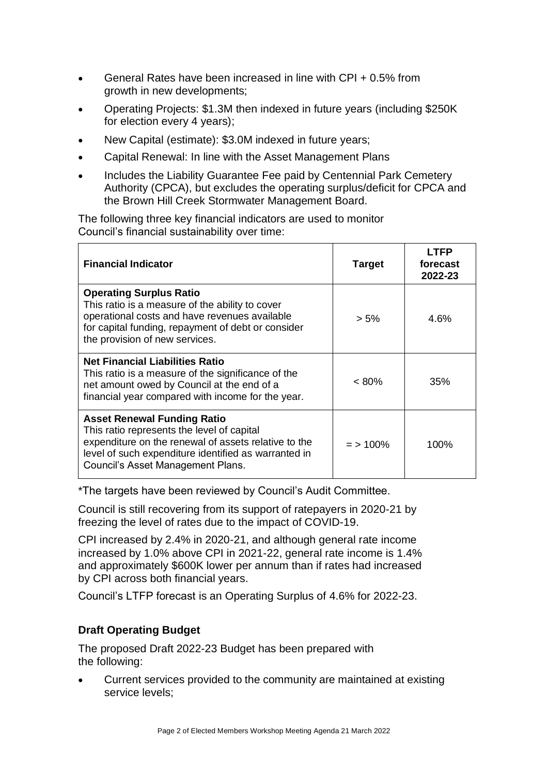- General Rates have been increased in line with CPI + 0.5% from growth in new developments;
- Operating Projects: \$1.3M then indexed in future years (including \$250K for election every 4 years);
- New Capital (estimate): \$3.0M indexed in future years;
- Capital Renewal: In line with the Asset Management Plans
- Includes the Liability Guarantee Fee paid by Centennial Park Cemetery Authority (CPCA), but excludes the operating surplus/deficit for CPCA and the Brown Hill Creek Stormwater Management Board.

The following three key financial indicators are used to monitor Council's financial sustainability over time:

| <b>Financial Indicator</b>                                                                                                                                                                                                            | <b>Target</b> | LTFP<br>forecast<br>2022-23 |
|---------------------------------------------------------------------------------------------------------------------------------------------------------------------------------------------------------------------------------------|---------------|-----------------------------|
| <b>Operating Surplus Ratio</b><br>This ratio is a measure of the ability to cover<br>operational costs and have revenues available<br>for capital funding, repayment of debt or consider<br>the provision of new services.            | $> 5\%$       | 4.6%                        |
| <b>Net Financial Liabilities Ratio</b><br>This ratio is a measure of the significance of the<br>net amount owed by Council at the end of a<br>financial year compared with income for the year.                                       | $< 80\%$      | 35%                         |
| <b>Asset Renewal Funding Ratio</b><br>This ratio represents the level of capital<br>expenditure on the renewal of assets relative to the<br>level of such expenditure identified as warranted in<br>Council's Asset Management Plans. | $=$ > 100%    | 100%                        |

\*The targets have been reviewed by Council's Audit Committee.

Council is still recovering from its support of ratepayers in 2020-21 by freezing the level of rates due to the impact of COVID-19.

CPI increased by 2.4% in 2020-21, and although general rate income increased by 1.0% above CPI in 2021-22, general rate income is 1.4% and approximately \$600K lower per annum than if rates had increased by CPI across both financial years.

Council's LTFP forecast is an Operating Surplus of 4.6% for 2022-23.

# **Draft Operating Budget**

The proposed Draft 2022-23 Budget has been prepared with the following:

• Current services provided to the community are maintained at existing service levels;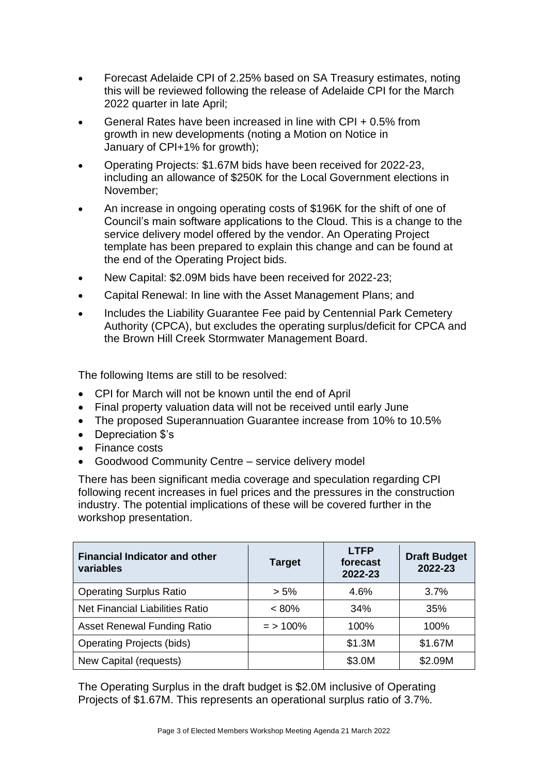- Forecast Adelaide CPI of 2.25% based on SA Treasury estimates, noting this will be reviewed following the release of Adelaide CPI for the March 2022 quarter in late April;
- General Rates have been increased in line with CPI + 0.5% from growth in new developments (noting a Motion on Notice in January of CPI+1% for growth);
- Operating Projects: \$1.67M bids have been received for 2022-23, including an allowance of \$250K for the Local Government elections in November;
- An increase in ongoing operating costs of \$196K for the shift of one of Council's main software applications to the Cloud. This is a change to the service delivery model offered by the vendor. An Operating Project template has been prepared to explain this change and can be found at the end of the Operating Project bids.
- New Capital: \$2.09M bids have been received for 2022-23;
- Capital Renewal: In line with the Asset Management Plans; and
- Includes the Liability Guarantee Fee paid by Centennial Park Cemetery Authority (CPCA), but excludes the operating surplus/deficit for CPCA and the Brown Hill Creek Stormwater Management Board.

The following Items are still to be resolved:

- CPI for March will not be known until the end of April
- Final property valuation data will not be received until early June
- The proposed Superannuation Guarantee increase from 10% to 10.5%
- Depreciation \$'s
- Finance costs
- Goodwood Community Centre service delivery model

There has been significant media coverage and speculation regarding CPI following recent increases in fuel prices and the pressures in the construction industry. The potential implications of these will be covered further in the workshop presentation.

| <b>Financial Indicator and other</b><br>variables | <b>Target</b> | <b>LTFP</b><br>forecast<br>2022-23 | <b>Draft Budget</b><br>2022-23 |
|---------------------------------------------------|---------------|------------------------------------|--------------------------------|
| <b>Operating Surplus Ratio</b>                    | $> 5\%$       | 4.6%                               | $3.7\%$                        |
| Net Financial Liabilities Ratio                   | $< 80\%$      | 34%                                | 35%                            |
| <b>Asset Renewal Funding Ratio</b>                | $=$ > 100%    | 100%                               | 100%                           |
| <b>Operating Projects (bids)</b>                  |               | \$1.3M                             | \$1.67M                        |
| New Capital (requests)                            |               | \$3.0M                             | \$2.09M                        |

The Operating Surplus in the draft budget is \$2.0M inclusive of Operating Projects of \$1.67M. This represents an operational surplus ratio of 3.7%.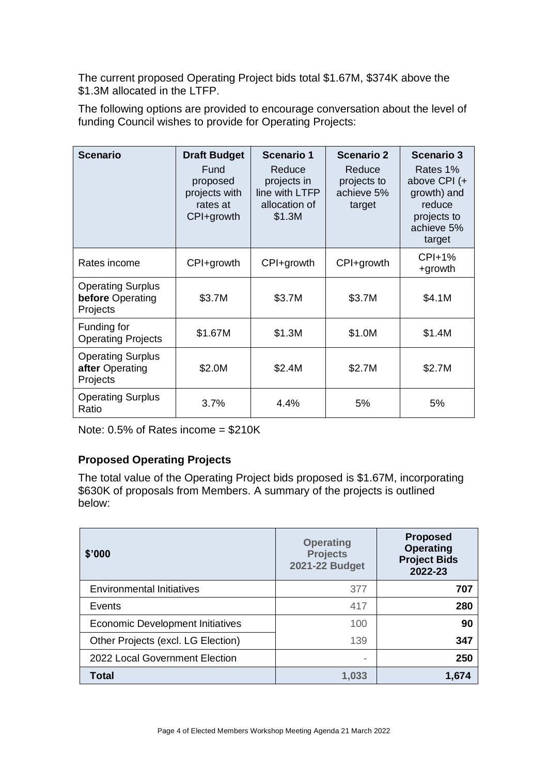The current proposed Operating Project bids total \$1.67M, \$374K above the \$1.3M allocated in the LTFP.

The following options are provided to encourage conversation about the level of funding Council wishes to provide for Operating Projects:

| <b>Scenario</b>                                                 | <b>Draft Budget</b><br>Fund<br>proposed<br>projects with<br>rates at<br>CPI+growth | <b>Scenario 1</b><br>Reduce<br>projects in<br>line with LTFP<br>allocation of<br>\$1.3M | <b>Scenario 2</b><br>Reduce<br>projects to<br>achieve 5%<br>target | <b>Scenario 3</b><br>Rates 1%<br>above CPI (+<br>growth) and<br>reduce<br>projects to<br>achieve 5%<br>target |
|-----------------------------------------------------------------|------------------------------------------------------------------------------------|-----------------------------------------------------------------------------------------|--------------------------------------------------------------------|---------------------------------------------------------------------------------------------------------------|
| Rates income                                                    | CPI+growth                                                                         | CPI+growth                                                                              | CPI+growth                                                         | $CPI+1%$<br>+growth                                                                                           |
| <b>Operating Surplus</b><br><b>before</b> Operating<br>Projects | \$3.7M                                                                             | \$3.7M                                                                                  | \$3.7M                                                             | \$4.1M                                                                                                        |
| Funding for<br><b>Operating Projects</b>                        | \$1.67M                                                                            | \$1.3M                                                                                  | \$1.0M                                                             | \$1.4M                                                                                                        |
| <b>Operating Surplus</b><br>after Operating<br>Projects         | \$2.0M                                                                             | \$2.4M                                                                                  | \$2.7M                                                             | \$2.7M                                                                                                        |
| <b>Operating Surplus</b><br>Ratio                               | 3.7%                                                                               | 4.4%                                                                                    | 5%                                                                 | 5%                                                                                                            |

Note: 0.5% of Rates income = \$210K

# **Proposed Operating Projects**

The total value of the Operating Project bids proposed is \$1.67M, incorporating \$630K of proposals from Members. A summary of the projects is outlined below:

| \$'000                             | <b>Operating</b><br><b>Projects</b><br><b>2021-22 Budget</b> | <b>Proposed</b><br><b>Operating</b><br><b>Project Bids</b><br>2022-23 |
|------------------------------------|--------------------------------------------------------------|-----------------------------------------------------------------------|
| <b>Environmental Initiatives</b>   | 377                                                          | 707                                                                   |
| Events                             | 417                                                          | 280                                                                   |
| Economic Development Initiatives   | 100                                                          | 90                                                                    |
| Other Projects (excl. LG Election) | 139                                                          | 347                                                                   |
| 2022 Local Government Election     | $\overline{\phantom{a}}$                                     | 250                                                                   |
| <b>Total</b>                       | 1,033                                                        | 1,674                                                                 |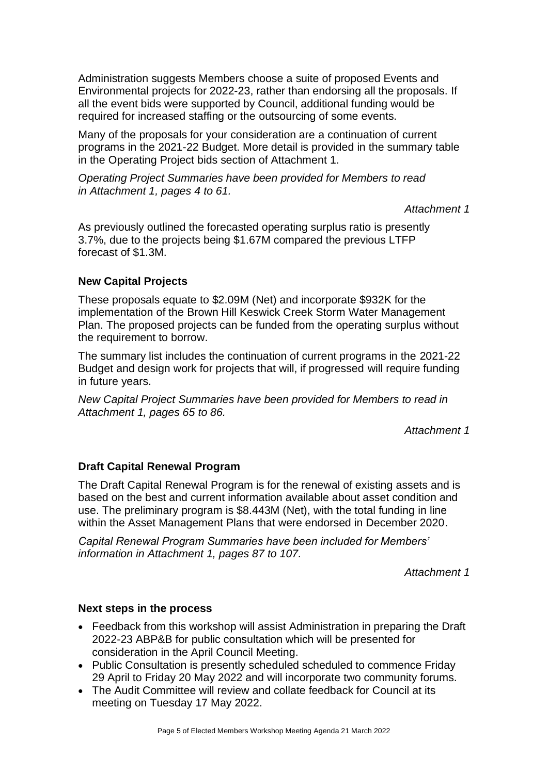Administration suggests Members choose a suite of proposed Events and Environmental projects for 2022-23, rather than endorsing all the proposals. If all the event bids were supported by Council, additional funding would be required for increased staffing or the outsourcing of some events.

Many of the proposals for your consideration are a continuation of current programs in the 2021-22 Budget. More detail is provided in the summary table in the Operating Project bids section of Attachment 1.

*Operating Project Summaries have been provided for Members to read in Attachment 1, pages 4 to 61.*

*Attachment 1*

As previously outlined the forecasted operating surplus ratio is presently 3.7%, due to the projects being \$1.67M compared the previous LTFP forecast of \$1.3M.

## **New Capital Projects**

These proposals equate to \$2.09M (Net) and incorporate \$932K for the implementation of the Brown Hill Keswick Creek Storm Water Management Plan. The proposed projects can be funded from the operating surplus without the requirement to borrow.

The summary list includes the continuation of current programs in the 2021-22 Budget and design work for projects that will, if progressed will require funding in future years.

*New Capital Project Summaries have been provided for Members to read in Attachment 1, pages 65 to 86.*

*Attachment 1*

## **Draft Capital Renewal Program**

The Draft Capital Renewal Program is for the renewal of existing assets and is based on the best and current information available about asset condition and use. The preliminary program is \$8.443M (Net), with the total funding in line within the Asset Management Plans that were endorsed in December 2020.

*Capital Renewal Program Summaries have been included for Members' information in Attachment 1, pages 87 to 107.*

*Attachment 1*

## **Next steps in the process**

- Feedback from this workshop will assist Administration in preparing the Draft 2022-23 ABP&B for public consultation which will be presented for consideration in the April Council Meeting.
- Public Consultation is presently scheduled scheduled to commence Friday 29 April to Friday 20 May 2022 and will incorporate two community forums.
- The Audit Committee will review and collate feedback for Council at its meeting on Tuesday 17 May 2022.